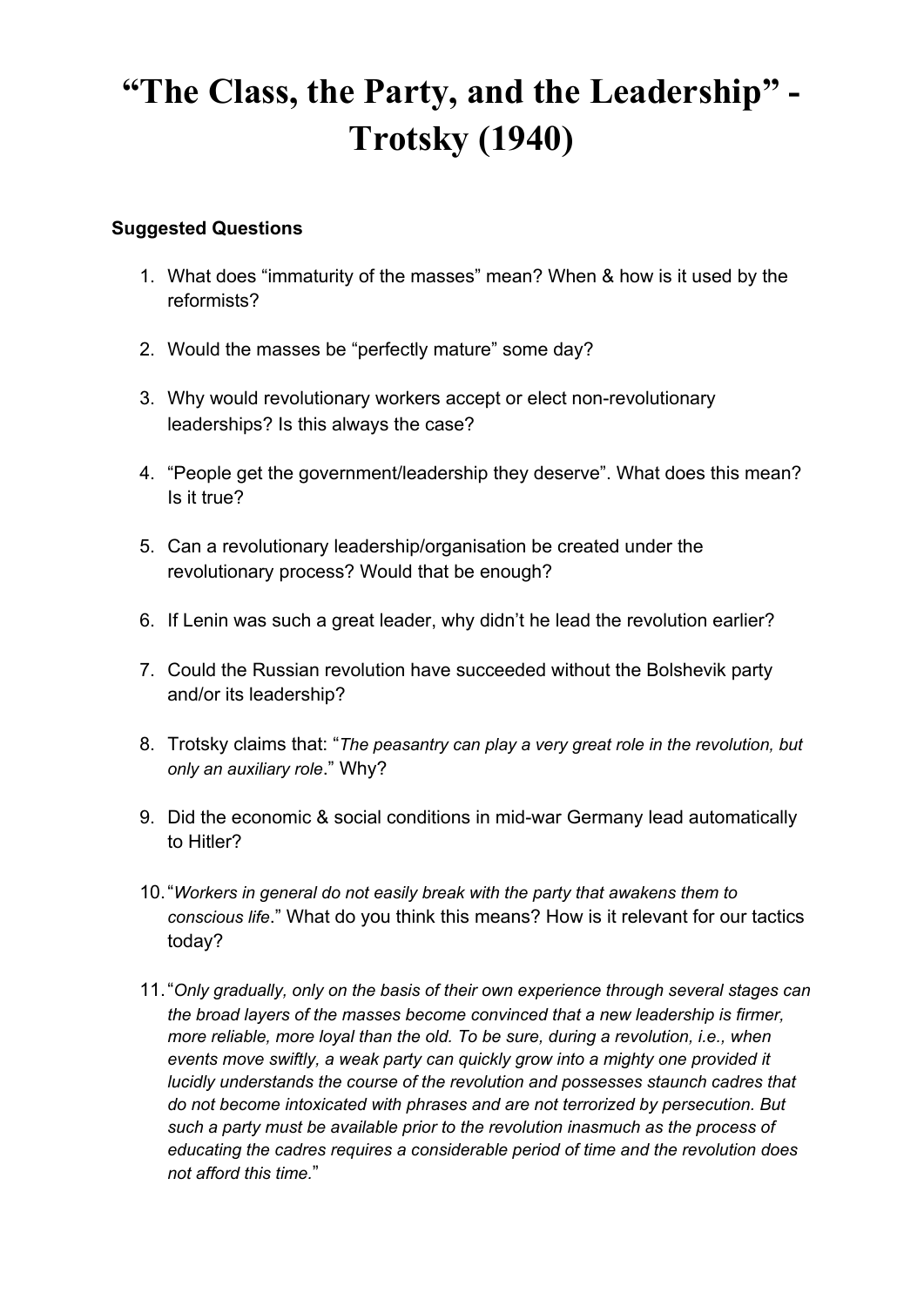## **"The Class, the Party, and the Leadership" - Trotsky (1940)**

## **Suggested Questions**

- 1. What does "immaturity of the masses" mean? When & how is it used by the reformists?
- 2. Would the masses be "perfectly mature" some day?
- 3. Why would revolutionary workers accept or elect non-revolutionary leaderships? Is this always the case?
- 4. "People get the government/leadership they deserve". What does this mean? Is it true?
- 5. Can a revolutionary leadership/organisation be created under the revolutionary process? Would that be enough?
- 6. If Lenin was such a great leader, why didn't he lead the revolution earlier?
- 7. Could the Russian revolution have succeeded without the Bolshevik party and/or its leadership?
- 8. Trotsky claims that: "*The peasantry can play a very great role in the revolution, but only an auxiliary role*." Why?
- 9. Did the economic & social conditions in mid-war Germany lead automatically to Hitler?
- 10."*Workers in general do not easily break with the party that awakens them to conscious life*." What do you think this means? How is it relevant for our tactics today?
- 11."*Only gradually, only on the basis of their own experience through several stages can the broad layers of the masses become convinced that a new leadership is firmer, more reliable, more loyal than the old. To be sure, during a revolution, i.e., when events move swiftly, a weak party can quickly grow into a mighty one provided it lucidly understands the course of the revolution and possesses staunch cadres that do not become intoxicated with phrases and are not terrorized by persecution. But such a party must be available prior to the revolution inasmuch as the process of educating the cadres requires a considerable period of time and the revolution does not afford this time.*"